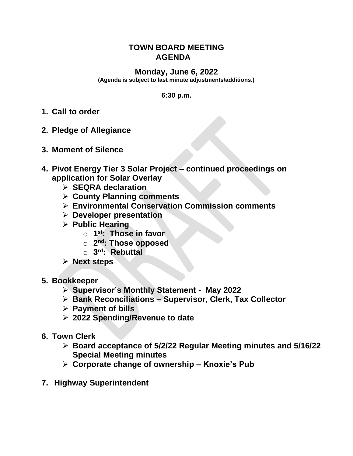## **TOWN BOARD MEETING AGENDA**

## **Monday, June 6, 2022**

**(Agenda is subject to last minute adjustments/additions.)**

## **6:30 p.m.**

- **1. Call to order**
- **2. Pledge of Allegiance**
- **3. Moment of Silence**
- **4. Pivot Energy Tier 3 Solar Project – continued proceedings on application for Solar Overlay**
	- ➢ **SEQRA declaration**
	- ➢ **County Planning comments**
	- ➢ **Environmental Conservation Commission comments**
	- ➢ **Developer presentation**
	- ➢ **Public Hearing**
		- o **1 st: Those in favor**
		- o **2 nd: Those opposed**
		- o **3 rd: Rebuttal**
	- ➢ **Next steps**
- **5. Bookkeeper**
	- ➢ **Supervisor's Monthly Statement May 2022**
	- ➢ **Bank Reconciliations – Supervisor, Clerk, Tax Collector**
	- ➢ **Payment of bills**
	- ➢ **2022 Spending/Revenue to date**
- **6. Town Clerk**
	- ➢ **Board acceptance of 5/2/22 Regular Meeting minutes and 5/16/22 Special Meeting minutes**
	- ➢ **Corporate change of ownership – Knoxie's Pub**
- **7. Highway Superintendent**